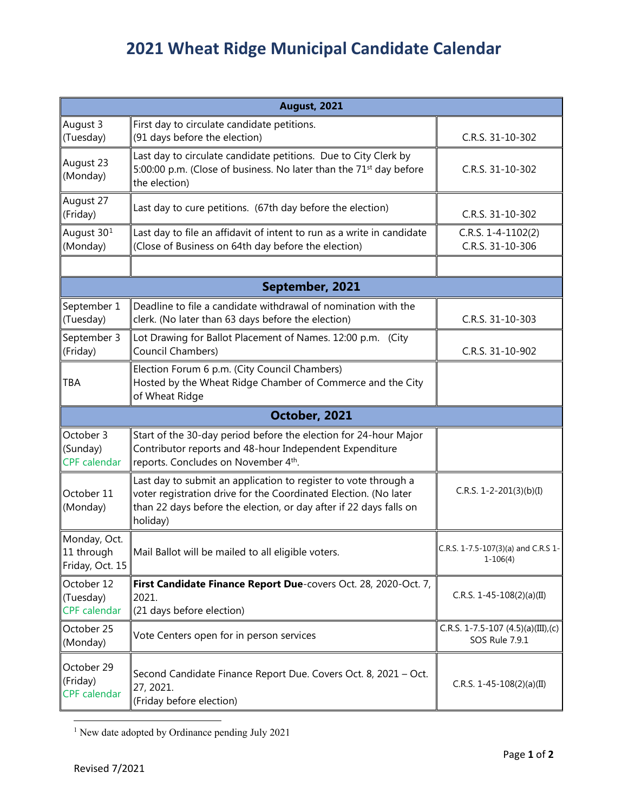## **2021 Wheat Ridge Municipal Candidate Calendar**

| <b>August, 2021</b>                            |                                                                                                                                                                                                                       |                                                         |  |
|------------------------------------------------|-----------------------------------------------------------------------------------------------------------------------------------------------------------------------------------------------------------------------|---------------------------------------------------------|--|
| August 3<br>(Tuesday)                          | First day to circulate candidate petitions.<br>(91 days before the election)                                                                                                                                          | C.R.S. 31-10-302                                        |  |
| August 23<br>(Monday)                          | Last day to circulate candidate petitions. Due to City Clerk by<br>5:00:00 p.m. (Close of business. No later than the 71 <sup>st</sup> day before<br>the election)                                                    | C.R.S. 31-10-302                                        |  |
| August 27<br>(Friday)                          | Last day to cure petitions. (67th day before the election)                                                                                                                                                            | C.R.S. 31-10-302                                        |  |
| August 30 <sup>1</sup><br>(Monday)             | Last day to file an affidavit of intent to run as a write in candidate<br>(Close of Business on 64th day before the election)                                                                                         | C.R.S. $1-4-1102(2)$<br>C.R.S. 31-10-306                |  |
|                                                |                                                                                                                                                                                                                       |                                                         |  |
| September, 2021                                |                                                                                                                                                                                                                       |                                                         |  |
| September 1<br>(Tuesday)                       | Deadline to file a candidate withdrawal of nomination with the<br>clerk. (No later than 63 days before the election)                                                                                                  | C.R.S. 31-10-303                                        |  |
| September 3<br>(Friday)                        | Lot Drawing for Ballot Placement of Names. 12:00 p.m. (City<br>Council Chambers)                                                                                                                                      | C.R.S. 31-10-902                                        |  |
| TBA                                            | Election Forum 6 p.m. (City Council Chambers)<br>Hosted by the Wheat Ridge Chamber of Commerce and the City<br>of Wheat Ridge                                                                                         |                                                         |  |
| October, 2021                                  |                                                                                                                                                                                                                       |                                                         |  |
| October 3<br>(Sunday)<br><b>CPF</b> calendar   | Start of the 30-day period before the election for 24-hour Major<br>Contributor reports and 48-hour Independent Expenditure<br>reports. Concludes on November 4th.                                                    |                                                         |  |
| October 11<br>(Monday)                         | Last day to submit an application to register to vote through a<br>voter registration drive for the Coordinated Election. (No later<br>than 22 days before the election, or day after if 22 days falls on<br>holiday) | C.R.S. 1-2-201(3)(b)(I)                                 |  |
| Monday, Oct.<br>11 through<br>Friday, Oct. 15  | Mail Ballot will be mailed to all eligible voters.                                                                                                                                                                    | C.R.S. 1-7.5-107(3)(a) and C.R.S 1-<br>$1 - 106(4)$     |  |
| October 12<br>(Tuesday)<br><b>CPF</b> calendar | First Candidate Finance Report Due-covers Oct. 28, 2020-Oct. 7,<br>2021.<br>(21 days before election)                                                                                                                 | C.R.S. 1-45-108(2)(a)(II)                               |  |
| October 25<br>(Monday)                         | Vote Centers open for in person services                                                                                                                                                                              | C.R.S. 1-7.5-107 $(4.5)(a)(III)$ ,(c)<br>SOS Rule 7.9.1 |  |
| October 29<br>(Friday)<br><b>CPF</b> calendar  | Second Candidate Finance Report Due. Covers Oct. 8, 2021 - Oct.<br>27, 2021.<br>(Friday before election)                                                                                                              | C.R.S. 1-45-108(2)(a)(II)                               |  |

<span id="page-0-0"></span><sup>1</sup> New date adopted by Ordinance pending July 2021